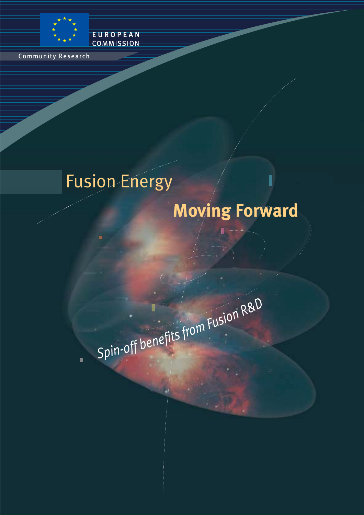

Community Research

## **Fusion Energy**

EUROPEAN **COMMISSION** 

## **Moving Forward**

I

Spin-off benefits from Fusion R&D

 $\blacksquare$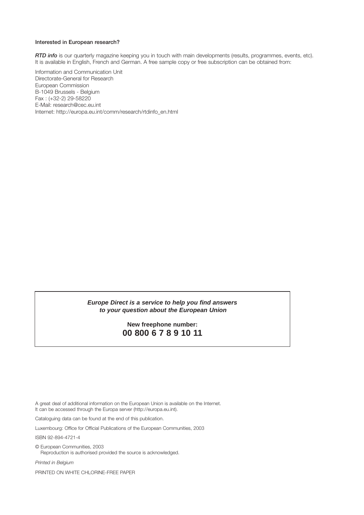#### **Interested in European research?**

*RTD info* is our quarterly magazine keeping you in touch with main developments (results, programmes, events, etc). It is available in English, French and German. A free sample copy or free subscription can be obtained from:

Information and Communication Unit Directorate-General for Research European Commission B-1049 Brussels - Belgium Fax : (+32-2) 29-58220 E-Mail: research@cec.eu.int Internet: http://europa.eu.int/comm/research/rtdinfo\_en.html

#### **Europe Direct is a service to help you find answers to your question about the European Union**

#### **New freephone number: 00 800 6 7 8 9 10 11**

A great deal of additional information on the European Union is available on the Internet. It can be accessed through the Europa server (http://europa.eu.int).

Cataloguing data can be found at the end of this publication.

Luxembourg: Office for Official Publications of the European Communities, 2003

ISBN 92-894-4721-4

© European Communities, 2003 Reproduction is authorised provided the source is acknowledged.

*Printed in Belgium*

PRINTED ON WHITE CHLORINE-FREE PAPER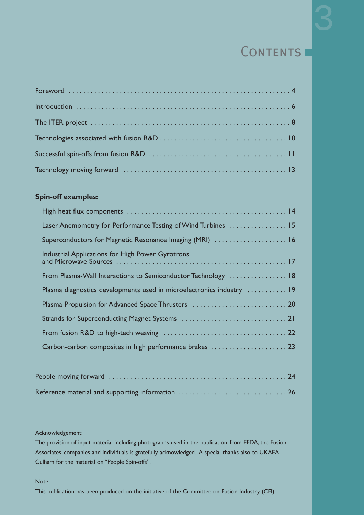### CONTENTS I

### **Spin-off examples:**

| Laser Anemometry for Performance Testing of Wind Turbines  15         |  |
|-----------------------------------------------------------------------|--|
| Superconductors for Magnetic Resonance Imaging (MRI)  16              |  |
| Industrial Applications for High Power Gyrotrons                      |  |
| From Plasma-Wall Interactions to Semiconductor Technology  18         |  |
| Plasma diagnostics developments used in microelectronics industry  19 |  |
|                                                                       |  |
|                                                                       |  |
|                                                                       |  |
|                                                                       |  |
|                                                                       |  |

| Reference material and supporting information  26 |  |
|---------------------------------------------------|--|

#### Acknowledgement:

The provision of input material including photographs used in the publication, from EFDA, the Fusion Associates, companies and individuals is gratefully acknowledged. A special thanks also to UKAEA, Culham for the material on "People Spin-offs".

Note:

This publication has been produced on the initiative of the Committee on Fusion Industry (CFI).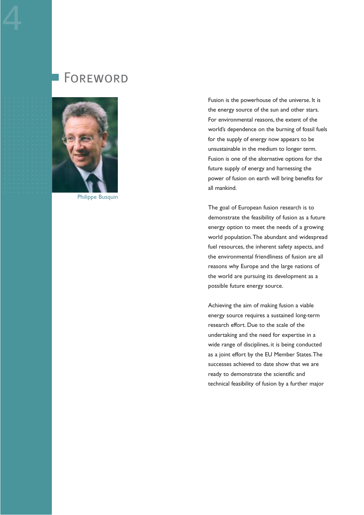## Foreword



Philippe Busquin

Fusion is the powerhouse of the universe. It is the energy source of the sun and other stars. For environmental reasons, the extent of the world's dependence on the burning of fossil fuels for the supply of energy now appears to be unsustainable in the medium to longer term. Fusion is one of the alternative options for the future supply of energy and harnessing the power of fusion on earth will bring benefits for all mankind.

The goal of European fusion research is to demonstrate the feasibility of fusion as a future energy option to meet the needs of a growing world population.The abundant and widespread fuel resources, the inherent safety aspects, and the environmental friendliness of fusion are all reasons why Europe and the large nations of the world are pursuing its development as a possible future energy source.

Achieving the aim of making fusion a viable energy source requires a sustained long-term research effort. Due to the scale of the undertaking and the need for expertise in a wide range of disciplines, it is being conducted as a joint effort by the EU Member States.The successes achieved to date show that we are ready to demonstrate the scientific and technical feasibility of fusion by a further major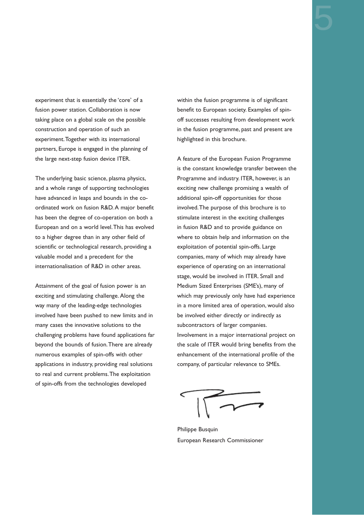experiment that is essentially the 'core' of a fusion power station. Collaboration is now taking place on a global scale on the possible construction and operation of such an experiment.Together with its international

The underlying basic science, plasma physics, and a whole range of supporting technologies have advanced in leaps and bounds in the coordinated work on fusion R&D. A major benefit has been the degree of co-operation on both a European and on a world level.This has evolved to a higher degree than in any other field of scientific or technological research, providing a valuable model and a precedent for the internationalisation of R&D in other areas.

partners, Europe is engaged in the planning of

the large next-step fusion device ITER.

Attainment of the goal of fusion power is an exciting and stimulating challenge. Along the way many of the leading-edge technologies involved have been pushed to new limits and in many cases the innovative solutions to the challenging problems have found applications far beyond the bounds of fusion.There are already numerous examples of spin-offs with other applications in industry, providing real solutions to real and current problems.The exploitation of spin-offs from the technologies developed

within the fusion programme is of significant benefit to European society. Examples of spinoff successes resulting from development work in the fusion programme, past and present are highlighted in this brochure.

A feature of the European Fusion Programme is the constant knowledge transfer between the Programme and industry. ITER, however, is an exciting new challenge promising a wealth of additional spin-off opportunities for those involved.The purpose of this brochure is to stimulate interest in the exciting challenges in fusion R&D and to provide guidance on where to obtain help and information on the exploitation of potential spin-offs. Large companies, many of which may already have experience of operating on an international stage, would be involved in ITER. Small and Medium Sized Enterprises (SME's), many of which may previously only have had experience in a more limited area of operation, would also be involved either directly or indirectly as subcontractors of larger companies. Involvement in a major international project on the scale of ITER would bring benefits from the enhancement of the international profile of the company, of particular relevance to SMEs.

Philippe Busquin European Research Commissioner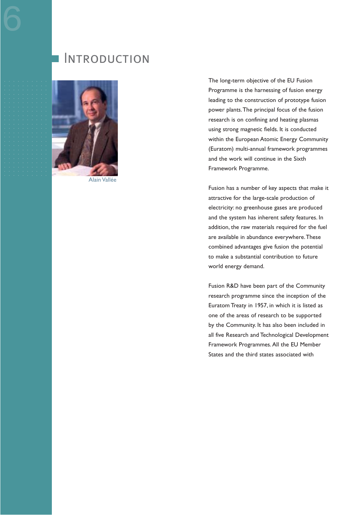### **INTRODUCTION**



Alain Vallée

The long-term objective of the EU Fusion Programme is the harnessing of fusion energy leading to the construction of prototype fusion power plants.The principal focus of the fusion research is on confining and heating plasmas using strong magnetic fields. It is conducted within the European Atomic Energy Community (Euratom) multi-annual framework programmes and the work will continue in the Sixth Framework Programme.

Fusion has a number of key aspects that make it attractive for the large-scale production of electricity: no greenhouse gases are produced and the system has inherent safety features. In addition, the raw materials required for the fuel are available in abundance everywhere.These combined advantages give fusion the potential to make a substantial contribution to future world energy demand.

Fusion R&D have been part of the Community research programme since the inception of the Euratom Treaty in 1957, in which it is listed as one of the areas of research to be supported by the Community. It has also been included in all five Research and Technological Development Framework Programmes. All the EU Member States and the third states associated with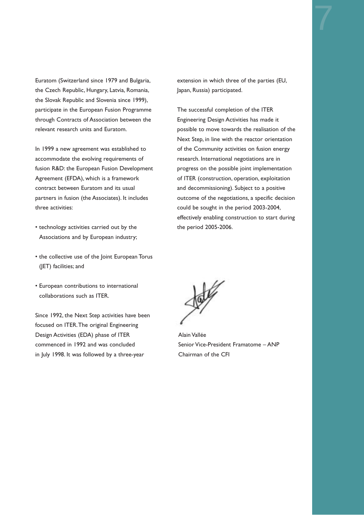Euratom (Switzerland since 1979 and Bulgaria, the Czech Republic, Hungary, Latvia, Romania, the Slovak Republic and Slovenia since 1999), participate in the European Fusion Programme through Contracts of Association between the relevant research units and Euratom.

In 1999 a new agreement was established to accommodate the evolving requirements of fusion R&D: the European Fusion Development Agreement (EFDA), which is a framework contract between Euratom and its usual partners in fusion (the Associates). It includes three activities:

- technology activities carried out by the Associations and by European industry;
- the collective use of the Joint European Torus (JET) facilities; and
- European contributions to international collaborations such as ITER.

Since 1992, the Next Step activities have been focused on ITER.The original Engineering Design Activities (EDA) phase of ITER commenced in 1992 and was concluded in July 1998. It was followed by a three-year

extension in which three of the parties (EU, Japan, Russia) participated.

The successful completion of the ITER Engineering Design Activities has made it possible to move towards the realisation of the Next Step, in line with the reactor orientation of the Community activities on fusion energy research. International negotiations are in progress on the possible joint implementation of ITER (construction, operation, exploitation and decommissioning). Subject to a positive outcome of the negotiations, a specific decision could be sought in the period 2003-2004, effectively enabling construction to start during the period 2005-2006.



Alain Vallée Senior Vice-President Framatome – ANP Chairman of the CFI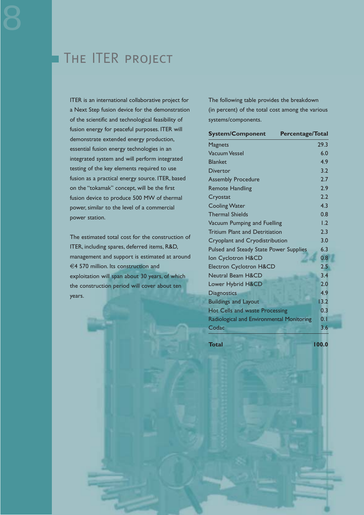### The ITER project

ITER is an international collaborative project for a Next Step fusion device for the demonstration of the scientific and technological feasibility of fusion energy for peaceful purposes. ITER will demonstrate extended energy production, essential fusion energy technologies in an integrated system and will perform integrated testing of the key elements required to use fusion as a practical energy source. ITER, based on the "tokamak" concept, will be the first fusion device to produce 500 MW of thermal power, similar to the level of a commercial power station.

The estimated total cost for the construction of ITER, including spares, deferred items, R&D, management and support is estimated at around €4 570 million. Its construction and exploitation will span about 30 years, of which the construction period will cover about ten years.

The following table provides the breakdown (in percent) of the total cost among the various systems/components.

| <b>System/Component</b>                   | <b>Percentage/Total</b> |  |
|-------------------------------------------|-------------------------|--|
| Magnets                                   | 29.3                    |  |
| <b>Vacuum Vessel</b>                      | 6.0                     |  |
| <b>Blanket</b>                            | 4.9                     |  |
| <b>Divertor</b>                           | 3.2                     |  |
| <b>Assembly Procedure</b>                 | 2.7                     |  |
| <b>Remote Handling</b>                    | 2.9                     |  |
| Cryostat                                  | 2.2                     |  |
| <b>Cooling Water</b>                      | 4.3                     |  |
| <b>Thermal Shields</b>                    | 0.8                     |  |
| Vacuum Pumping and Fuelling               | 1.2                     |  |
| <b>Tritium Plant and Detritiation</b>     | 2.3                     |  |
| Cryoplant and Cryodistribution            | 3.0                     |  |
| Pulsed and Steady State Power Supplies    | 6.3                     |  |
| Ion Cyclotron H&CD                        | 0.8                     |  |
| <b>Electron Cyclotron H&amp;CD</b>        | 2.5                     |  |
| <b>Neutral Beam H&amp;CD</b>              | 3.4                     |  |
| Lower Hybrid H&CD                         | 2.0                     |  |
| <b>Diagnostics</b>                        | 4.9                     |  |
| <b>Buildings and Layout</b>               | 13.2                    |  |
| Hot Cells and waste Processing            | 0.3                     |  |
| Radiological and Environmental Monitoring | 0.1                     |  |
| Codac                                     | 3.6                     |  |

**Total** 100.0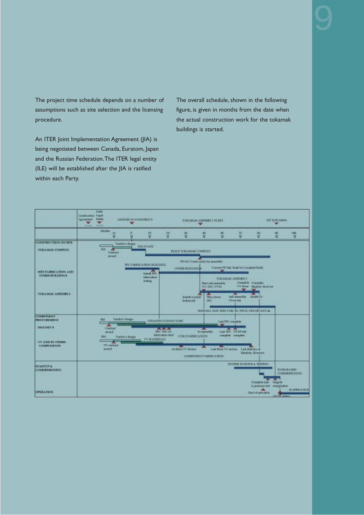The project time schedule depends on a number of assumptions such as site selection and the licensing procedure.

An ITER Joint Implementation Agreement (JIA) is being negotiated between Canada, Euratom, Japan and the Russian Federation.The ITER legal entity (ILE) will be established after the JIA is ratified within each Party.

The overall schedule, shown in the following figure, is given in months from the date when the actual construction work for the tokamak buildings is started.

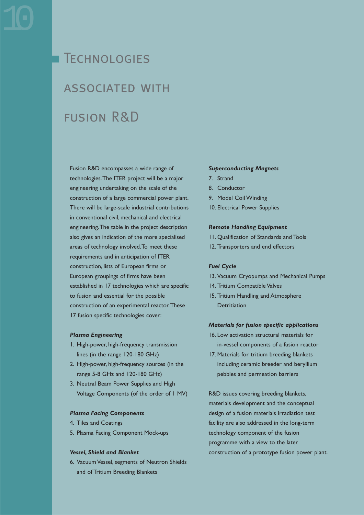# **TECHNOLOGIES** associated with fusion R&D

Fusion R&D encompasses a wide range of technologies.The ITER project will be a major engineering undertaking on the scale of the construction of a large commercial power plant. There will be large-scale industrial contributions in conventional civil, mechanical and electrical engineering.The table in the project description also gives an indication of the more specialised areas of technology involved.To meet these requirements and in anticipation of ITER construction, lists of European firms or European groupings of firms have been established in 17 technologies which are specific to fusion and essential for the possible construction of an experimental reactor.These 17 fusion specific technologies cover:

#### *Plasma Engineering*

- 1. High-power, high-frequency transmission lines (in the range 120-180 GHz)
- 2. High-power, high-frequency sources (in the range 5-8 GHz and 120-180 GHz)
- 3. Neutral Beam Power Supplies and High Voltage Components (of the order of 1 MV)

#### *Plasma Facing Components*

- 4. Tiles and Coatings
- 5. Plasma Facing Component Mock-ups

#### *Vessel, Shield and Blanket*

6. Vacuum Vessel, segments of Neutron Shields and of Tritium Breeding Blankets

#### *Superconducting Magnets*

- 7. Strand
- 8. Conductor
- 9. Model Coil Winding
- 10. Electrical Power Supplies

#### *Remote Handling Equipment*

- 11. Qualification of Standards and Tools
- 12. Transporters and end effectors

#### *Fuel Cycle*

- 13. Vacuum Cryopumps and Mechanical Pumps
- 14. Tritium Compatible Valves
- 15. Tritium Handling and Atmosphere **Detritiation**

#### *Materials for fusion specific applications*

- 16. Low activation structural materials for in-vessel components of a fusion reactor
- 17. Materials for tritium breeding blankets including ceramic breeder and beryllium pebbles and permeation barriers

R&D issues covering breeding blankets, materials development and the conceptual design of a fusion materials irradiation test facility are also addressed in the long-term technology component of the fusion programme with a view to the later construction of a prototype fusion power plant.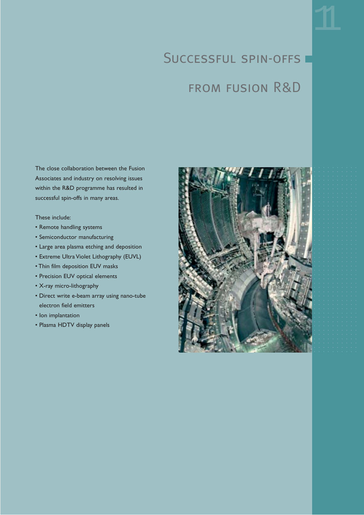## SUCCESSFUL SPIN-OFFS

## from fusion R&D

The close collaboration between the Fusion Associates and industry on resolving issues within the R&D programme has resulted in successful spin-offs in many areas.

These include:

- Remote handling systems
- Semiconductor manufacturing
- Large area plasma etching and deposition
- Extreme Ultra Violet Lithography (EUVL)
- Thin film deposition EUV masks
- Precision EUV optical elements
- X-ray micro-lithography
- Direct write e-beam array using nano-tube electron field emitters
- Ion implantation
- Plasma HDTV display panels

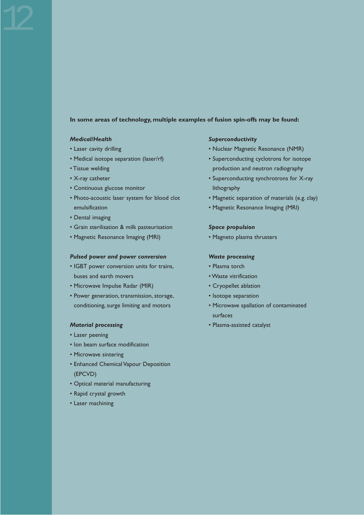#### **In some areas of technology, multiple examples of fusion spin-offs may be found:**

#### *Medical/Health*

- Laser cavity drilling
- Medical isotope separation (laser/rf)
- Tissue welding
- X-ray catheter
- Continuous glucose monitor
- Photo-acoustic laser system for blood clot emulsification
- Dental imaging
- Grain sterilisation & milk pasteurisation
- Magnetic Resonance Imaging (MRI)

#### *Pulsed power and power conversion*

- IGBT power conversion units for trains, buses and earth movers
- Microwave Impulse Radar (MIR)
- Power generation, transmission, storage, conditioning, surge limiting and motors

#### *Material processing*

- Laser peening
- Ion beam surface modification
- Microwave sintering
- Enhanced Chemical Vapour Deposition (EPCVD)
- Optical material manufacturing
- Rapid crystal growth
- Laser machining

#### *Superconductivity*

- Nuclear Magnetic Resonance (NMR)
- Superconducting cyclotrons for isotope production and neutron radiography
- Superconducting synchrotrons for X-ray lithography
- Magnetic separation of materials (e.g. clay)
- Magnetic Resonance Imaging (MRI)

#### *Space propulsion*

• Magneto plasma thrusters

#### *Waste processing*

- Plasma torch
- Waste vitrification
- Cryopellet ablation
- Isotope separation
- Microwave spallation of contaminated surfaces
- Plasma-assisted catalyst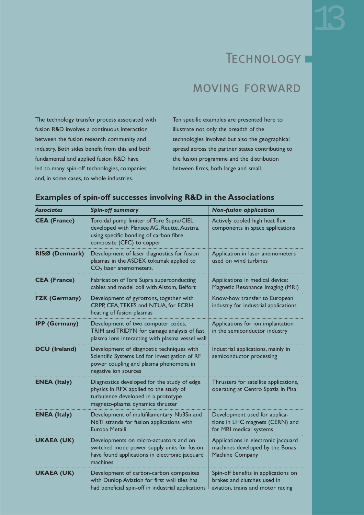## TECHNOLOGY I

### moving forward

The technology transfer process associated with fusion R&D involves a continuous interaction between the fusion research community and industry. Both sides benefit from this and both fundamental and applied fusion R&D have led to many spin-off technologies, companies and, in some cases, to whole industries.

Ten specific examples are presented here to illustrate not only the breadth of the technologies involved but also the geographical spread across the partner states contributing to the fusion programme and the distribution between firms, both large and small.

#### **Examples of spin-off successes involving R&D in the Associations**

| <b>Associates</b>    | <b>Spin-off summary</b>                                                                                                                                          | <b>Non-fusion application</b>                                                                            |
|----------------------|------------------------------------------------------------------------------------------------------------------------------------------------------------------|----------------------------------------------------------------------------------------------------------|
| <b>CEA (France)</b>  | Toroidal pump limiter of Tore Supra/CIEL,<br>developed with Plansee AG, Reutte, Austria,<br>using specific bonding of carbon fibre<br>composite (CFC) to copper  | Actively cooled high heat flux<br>components in space applications                                       |
| RISØ (Denmark)       | Development of laser diagnostics for fusion<br>plasmas in the ASDEX tokamak applied to<br>$CO2$ laser anemometers.                                               | Application in laser anemometers<br>used on wind turbines                                                |
| <b>CEA (France)</b>  | Fabrication of Tore Supra superconducting<br>cables and model coil with Alstom, Belfort                                                                          | Applications in medical device:<br>Magnetic Resonance Imaging (MRI)                                      |
| <b>FZK (Germany)</b> | Development of gyrotrons, together with<br>CRPP, CEA, TEKES and NTUA, for ECRH<br>heating of fusion plasmas                                                      | Know-how transfer to European<br>industry for industrial applications                                    |
| <b>IPP (Germany)</b> | Development of two computer codes,<br>TRIM and TRIDYN for damage analysis of fast<br>plasma ions interacting with plasma vessel wall                             | Applications for ion implantation<br>in the semiconductor industry                                       |
| <b>DCU</b> (Ireland) | Development of diagnostic techniques with<br>Scientific Systems Ltd for investigation of RF<br>power coupling and plasma phenomena in<br>negative ion sources    | Industrial applications, mainly in<br>semiconductor processing                                           |
| <b>ENEA (Italy)</b>  | Diagnostics developed for the study of edge<br>physics in RFX applied to the study of<br>turbulence developed in a prototype<br>magneto-plasma dynamics thruster | Thrusters for satellite applications,<br>operating at Centro Spazia in Pisa                              |
| <b>ENEA</b> (Italy)  | Development of multifilamentary Nb3Sn and<br>NbTi strands for fusion applications with<br>Europa Metalli                                                         | Development used for applica-<br>tions in LHC magnets (CERN) and<br>for MRI medical systems              |
| <b>UKAEA (UK)</b>    | Developments on micro-actuators and on<br>switched mode power supply units for fusion<br>have found applications in electronic jacquard<br>machines              | Applications in electronic jacquard<br>machines developed by the Bonas<br>Machine Company                |
| <b>UKAEA (UK)</b>    | Development of carbon-carbon composites<br>with Dunlop Aviation for first wall tiles has<br>had beneficial spin-off in industrial applications                   | Spin-off benefits in applications on<br>brakes and clutches used in<br>aviation, trains and motor racing |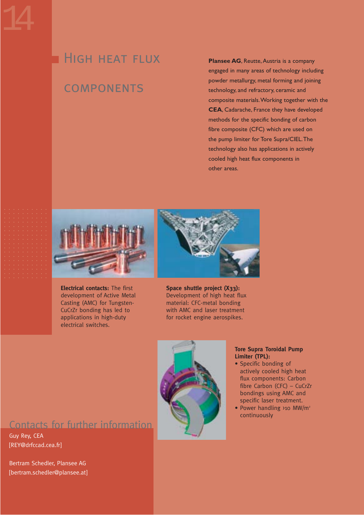## **HIGH HEAT FLUX**

### **COMPONENTS**

**Plansee AG**, Reutte, Austria is a company engaged in many areas of technology including powder metallurgy, metal forming and joining technology, and refractory, ceramic and composite materials.Working together with the **CEA**, Cadarache, France they have developed methods for the specific bonding of carbon fibre composite (CFC) which are used on the pump limiter for Tore Supra/CIEL.The technology also has applications in actively cooled high heat flux components in other areas.



**Electrical contacts:** The first development of Active Metal Casting (AMC) for Tungsten-CuCrZr bonding has led to applications in high-duty electrical switches.



**Space shuttle project (X33):**  Development of high heat flux material: CFC-metal bonding with AMC and laser treatment for rocket engine aerospikes.



#### **Tore Supra Toroidal Pump Limiter (TPL):**

- Specific bonding of actively cooled high heat flux components: Carbon fibre Carbon (CFC) – CuCrZr bondings using AMC and specific laser treatment.
- Power handling >10 MW/m<sup>2</sup> continuously

### Contacts for further information

Guy Rey, CEA [REY@drfccad.cea.fr]

Bertram Schedler, Plansee AG [bertram.schedler@plansee.at]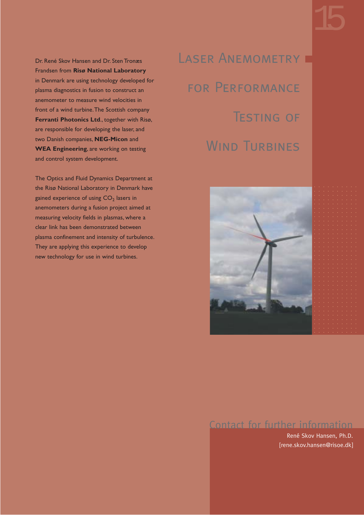Dr. René Skov Hansen and Dr. Sten Tronæs Frandsen from **Risø National Laboratory** in Denmark are using technology developed for plasma diagnostics in fusion to construct an anemometer to measure wind velocities in front of a wind turbine.The Scottish company **Ferranti Photonics Ltd**., together with Risø, are responsible for developing the laser, and two Danish companies, **NEG-Micon** and **WEA Engineering**, are working on testing and control system development.

The Optics and Fluid Dynamics Department at the Risø National Laboratory in Denmark have gained experience of using  $CO<sub>2</sub>$  lasers in anemometers during a fusion project aimed at measuring velocity fields in plasmas, where a clear link has been demonstrated between plasma confinement and intensity of turbulence. They are applying this experience to develop new technology for use in wind turbines.

LASER ANEMOMETRY for Performance Testing of WIND TURBINES



### Contact for further information

René Skov Hansen, Ph.D. [rene.skov.hansen@risoe.dk]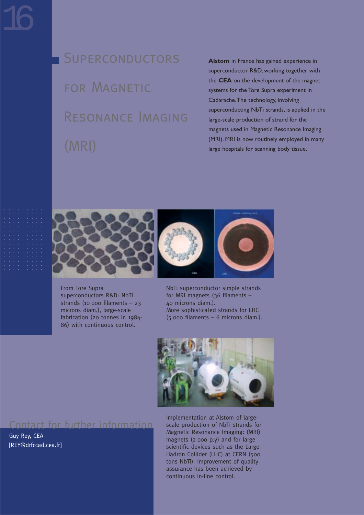**SUPERCONDUCTORS** FOR MAGNETIC Resonance Imaging (MRI)

**Alstom** in France has gained experience in superconductor R&D, working together with the **CEA** on the development of the magnet systems for the Tore Supra experiment in Cadarache.The technology, involving superconducting NbTi strands, is applied in the large-scale production of strand for the magnets used in Magnetic Resonance Imaging (MRI). MRI is now routinely employed in many large hospitals for scanning body tissue.



From Tore Supra superconductors R&D: NbTi strands (10 000 filaments – 23 microns diam.), large-scale fabrication (20 tonnes in 1984- 86) with continuous control.



NbTi superconductor simple strands for MRI magnets (36 filaments – 40 microns diam.). More sophisticated strands for LHC (5 000 filaments – 6 microns diam.).



### Contact for further information

Guy Rey, CEA [REY@drfccad.cea.fr] Implementation at Alstom of largescale production of NbTi strands for Magnetic Resonance Imaging: (MRI) magnets (2 000 p.y) and for large scientific devices such as the Large Hadron Collider (LHC) at CERN (500 tons NbTi). Improvement of quality assurance has been achieved by continuous in-line control.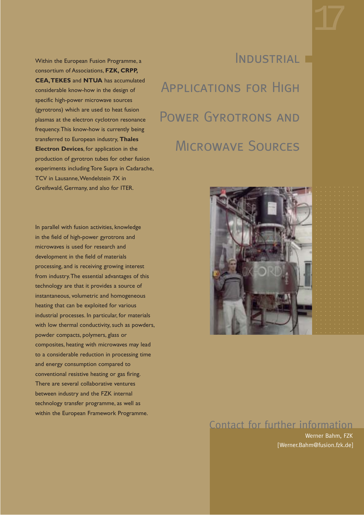Within the European Fusion Programme, a consortium of Associations, **FZK, CRPP, CEA,TEKES** and **NTUA** has accumulated considerable know-how in the design of specific high-power microwave sources (gyrotrons) which are used to heat fusion plasmas at the electron cyclotron resonance frequency.This know-how is currently being transferred to European industry, **Thales Electron Devices**, for application in the production of gyrotron tubes for other fusion experiments including Tore Supra in Cadarache, TCV in Lausanne,Wendelstein 7X in Greifswald, Germany, and also for ITER.

In parallel with fusion activities, knowledge in the field of high-power gyrotrons and microwaves is used for research and development in the field of materials processing, and is receiving growing interest from industry.The essential advantages of this technology are that it provides a source of instantaneous, volumetric and homogeneous heating that can be exploited for various industrial processes. In particular, for materials with low thermal conductivity, such as powders, powder compacts, polymers, glass or composites, heating with microwaves may lead to a considerable reduction in processing time and energy consumption compared to conventional resistive heating or gas firing. There are several collaborative ventures between industry and the FZK internal technology transfer programme, as well as within the European Framework Programme.

# INDUSTRIAL F Applications for High Power Gyrotrons and Microwave Sources



### Contact for further information

Werner Bahm, FZK [Werner.Bahm@fusion.fzk.de]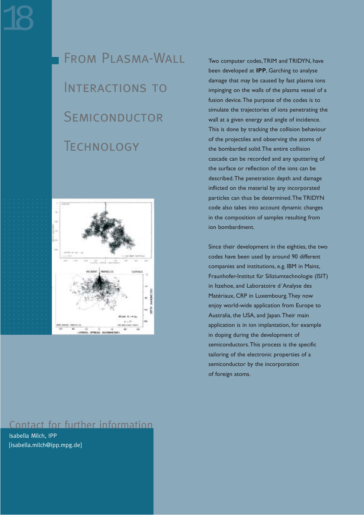From Plasma-Wall INTERACTIONS TO **SEMICONDUCTOR TECHNOLOGY** 



### Contact for further information

Isabella Milch, IPP [isabella.milch@ipp.mpg.de] Two computer codes,TRIM and TRIDYN, have been developed at **IPP**, Garching to analyse damage that may be caused by fast plasma ions impinging on the walls of the plasma vessel of a fusion device.The purpose of the codes is to simulate the trajectories of ions penetrating the wall at a given energy and angle of incidence. This is done by tracking the collision behaviour of the projectiles and observing the atoms of the bombarded solid.The entire collision cascade can be recorded and any sputtering of the surface or reflection of the ions can be described.The penetration depth and damage inflicted on the material by any incorporated particles can thus be determined.The TRIDYN code also takes into account dynamic changes in the composition of samples resulting from ion bombardment.

Since their development in the eighties, the two codes have been used by around 90 different companies and institutions, e.g. IBM in Mainz, Fraunhofer-Institut für Siliziumtechnologie (ISIT) in Itzehoe, and Laboratoire d´Analyse des Matériaux, CRP in Luxembourg.They now enjoy world-wide application from Europe to Australia, the USA, and Japan.Their main application is in ion implantation, for example in doping during the development of semiconductors.This process is the specific tailoring of the electronic properties of a semiconductor by the incorporation of foreign atoms.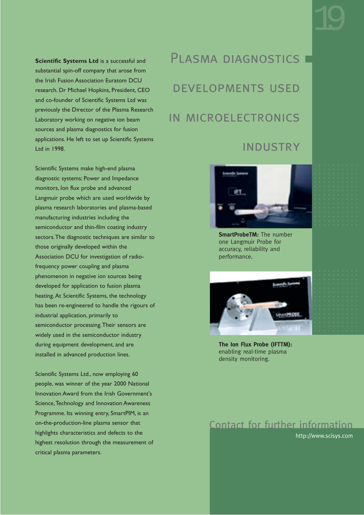**Scientific Systems Ltd** is a successful and substantial spin-off company that arose from the Irish Fusion Association Euratom DCU research. Dr Michael Hopkins, President, CEO and co-founder of Scientific Systems Ltd was previously the Director of the Plasma Research Laboratory working on negative ion beam sources and plasma diagnostics for fusion applications. He left to set up Scientific Systems Ltd in 1998.

Scientific Systems make high-end plasma diagnostic systems; Power and Impedance monitors, Ion flux probe and advanced Langmuir probe which are used worldwide by plasma research laboratories and plasma-based manufacturing industries including the semiconductor and thin-film coating industry sectors.The diagnostic techniques are similar to those originally developed within the Association DCU for investigation of radiofrequency power coupling and plasma phenomenon in negative ion sources being developed for application to fusion plasma heating. At Scientific Systems, the technology has been re-engineered to handle the rigours of industrial application, primarily to semiconductor processing.Their sensors are widely used in the semiconductor industry during equipment development, and are installed in advanced production lines.

Scientific Systems Ltd., now employing 60 people, was winner of the year 2000 National Innovation Award from the Irish Government's Science,Technology and Innovation Awareness Programme. Its winning entry, SmartPIM, is an on-the-production-line plasma sensor that highlights characteristics and defects to the highest resolution through the measurement of critical plasma parameters.

PLASMA DIAGNOSTICS developments used in microelectronics

### **INDUSTRY**



**SmartProbeTM:** The number one Langmuir Probe for accuracy, reliability and performance.



**The Ion Flux Probe (IFTTM):** enabling real-time plasma density monitoring.

### Contact for further information

http://www.scisys.com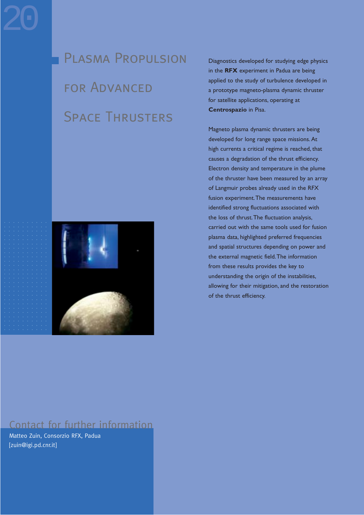Plasma Propulsion FOR ADVANCED Space Thrusters



Diagnostics developed for studying edge physics in the **RFX** experiment in Padua are being applied to the study of turbulence developed in a prototype magneto-plasma dynamic thruster for satellite applications, operating at **Centrospazio** in Pisa.

Magneto plasma dynamic thrusters are being developed for long range space missions. At high currents a critical regime is reached, that causes a degradation of the thrust efficiency. Electron density and temperature in the plume of the thruster have been measured by an array of Langmuir probes already used in the RFX fusion experiment.The measurements have identified strong fluctuations associated with the loss of thrust.The fluctuation analysis, carried out with the same tools used for fusion plasma data, highlighted preferred frequencies and spatial structures depending on power and the external magnetic field.The information from these results provides the key to understanding the origin of the instabilities, allowing for their mitigation, and the restoration of the thrust efficiency.

### Contact for further information

Matteo Zuin, Consorzio RFX, Padua [zuin@igi.pd.cnr.it]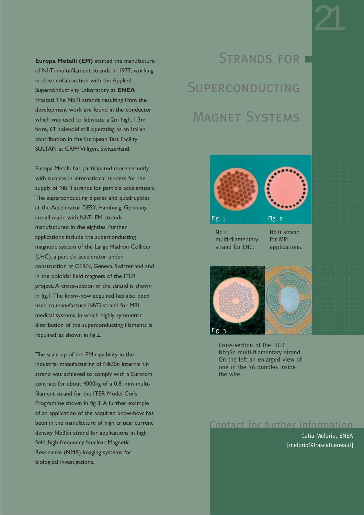**Europa Metalli (EM)** started the manufacture of NbTi multi-filament strands in 1977, working in close collaboration with the Applied Superconductivity Laboratory at **ENEA** Frascati.The NbTi strands resulting from the development work are found in the conductor which was used to fabricate a 2m high, 1.3m bore, 6T solenoid still operating as an Italian contribution in the European Test Facility SULTAN at CRPP Villigen, Switzerland.

Europa Metalli has participated more recently with success in international tenders for the supply of NbTi strands for particle accelerators. The superconducting dipoles and quadrupoles at the Accelerator DESY, Hamburg, Germany, are all made with NbTi EM strands manufactured in the eighties. Further applications include the superconducting magnetic system of the Large Hadron Collider (LHC), a particle accelerator under construction at CERN, Geneva, Switzerland and in the poloidal field magnets of the ITER project. A cross-section of the strand is shown in fig.1.The know-how acquired has also been used to manufacture NbTi strand for MRI medical systems, in which highly symmetric distribution of the superconducting filaments is required, as shown in fig.2.

The scale-up of the EM capability in the industrial manufacturing of Nb3Sn internal tin strand was achieved to comply with a Euratom contract for about 4000kg of a 0.81mm multifilament strand for the ITER Model Coils Programme shown in fig 3. A further example of an application of the acquired know-how has been in the manufacture of high critical current density Nb3Sn strand for applications in high field, high frequency Nuclear Magnetic Resonance (NMR) imaging systems for biological investigations.

# STRANDS FOR **E SUPERCONDUCTING** Magnet Systems



**NbTi** multi-filamentary strand for LHC.

NbTi strand for MRI applications.



Cross-section of the ITER Nb3Sn multi-filamentary strand. On the left an enlarged view of one of the 36 bundles inside the wire.

### Contact for further information

Catia Melorio, ENEA [melorio@frascati.enea.it]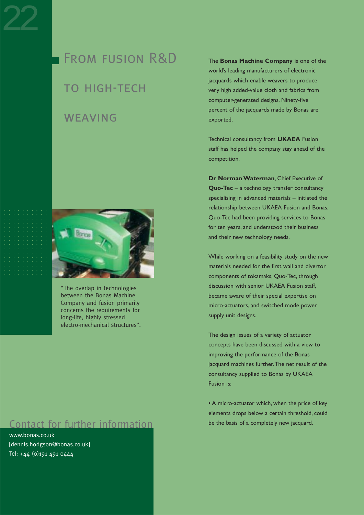From fusion R&D **TO HIGH-TECH** 

### **WEAVING**



"The overlap in technologies between the Bonas Machine Company and fusion primarily concerns the requirements for long-life, highly stressed electro-mechanical structures".

### Contact for further information

www.bonas.co.uk [dennis.hodgson@bonas.co.uk] Tel: +44 (0)191 491 0444

The **Bonas Machine Company** is one of the world's leading manufacturers of electronic jacquards which enable weavers to produce very high added-value cloth and fabrics from computer-generated designs. Ninety-five percent of the jacquards made by Bonas are exported.

Technical consultancy from **UKAEA** Fusion staff has helped the company stay ahead of the competition.

**Dr Norman Waterman**, Chief Executive of **Quo-Tec** – a technology transfer consultancy specialising in advanced materials – initiated the relationship between UKAEA Fusion and Bonas. Quo-Tec had been providing services to Bonas for ten years, and understood their business and their new technology needs.

While working on a feasibility study on the new materials needed for the first wall and divertor components of tokamaks, Quo-Tec, through discussion with senior UKAEA Fusion staff, became aware of their special expertise on micro-actuators, and switched mode power supply unit designs.

The design issues of a variety of actuator concepts have been discussed with a view to improving the performance of the Bonas jacquard machines further.The net result of the consultancy supplied to Bonas by UKAEA Fusion is:

• A micro-actuator which, when the price of key elements drops below a certain threshold, could be the basis of a completely new jacquard.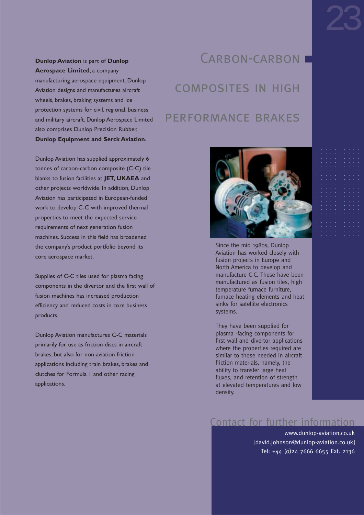**Dunlop Aviation** is part of **Dunlop Aerospace Limited**, a company manufacturing aerospace equipment. Dunlop Aviation designs and manufactures aircraft wheels, brakes, braking systems and ice protection systems for civil, regional, business and military aircraft. Dunlop Aerospace Limited also comprises Dunlop Precision Rubber, **Dunlop Equipment and Serck Aviation**.

Dunlop Aviation has supplied approximately 6 tonnes of carbon-carbon composite (C-C) tile blanks to fusion facilities at **JET, UKAEA** and other projects worldwide. In addition, Dunlop Aviation has participated in European-funded work to develop C-C with improved thermal properties to meet the expected service requirements of next generation fusion machines. Success in this field has broadened the company's product portfolio beyond its core aerospace market.

Supplies of C-C tiles used for plasma facing components in the divertor and the first wall of fusion machines has increased production efficiency and reduced costs in core business products.

Dunlop Aviation manufactures C-C materials primarily for use as friction discs in aircraft brakes, but also for non-aviation friction applications including train brakes, brakes and clutches for Formula 1 and other racing applications.

## CARBON-CARBON I composites in high performance brakes



Since the mid 1980s, Dunlop Aviation has worked closely with fusion projects in Europe and North America to develop and manufacture C-C. These have been manufactured as fusion tiles, high temperature furnace furniture, furnace heating elements and heat sinks for satellite electronics systems.

They have been supplied for plasma -facing components for first wall and divertor applications where the properties required are similar to those needed in aircraft friction materials, namely, the ability to transfer large heat fluxes, and retention of strength at elevated temperatures and low density.

### Contact for further information

www.dunlop-aviation.co.uk [david.johnson@dunlop-aviation.co.uk] Tel: +44 (0)24 7666 6655 Ext. 2136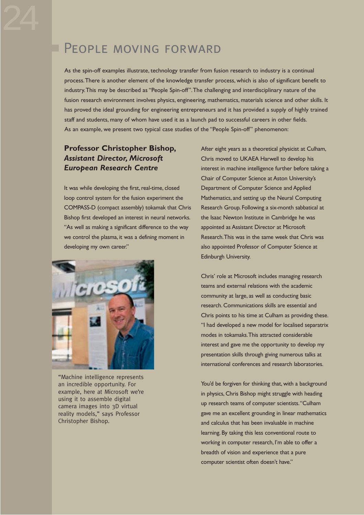### **PEOPLE MOVING FORWARD**

As the spin-off examples illustrate, technology transfer from fusion research to industry is a continual process.There is another element of the knowledge transfer process, which is also of significant benefit to industry.This may be described as "People Spin-off".The challenging and interdisciplinary nature of the fusion research environment involves physics, engineering, mathematics, materials science and other skills. It has proved the ideal grounding for engineering entrepreneurs and it has provided a supply of highly trained staff and students, many of whom have used it as a launch pad to successful careers in other fields. As an example, we present two typical case studies of the "People Spin-off" phenomenon:

### **Professor Christopher Bishop,** *Assistant Director, Microsoft European Research Centre*

It was while developing the first, real-time, closed loop control system for the fusion experiment the COMPASS-D (compact assembly) tokamak that Chris Bishop first developed an interest in neural networks. "As well as making a significant difference to the way we control the plasma, it was a defining moment in developing my own career."



"Machine intelligence represents an incredible opportunity. For example, here at Microsoft we're using it to assemble digital camera images into 3D virtual reality models," says Professor Christopher Bishop.

After eight years as a theoretical physicist at Culham, Chris moved to UKAEA Harwell to develop his interest in machine intelligence further before taking a Chair of Computer Science at Aston University's Department of Computer Science and Applied Mathematics, and setting up the Neural Computing Research Group. Following a six-month sabbatical at the Isaac Newton Institute in Cambridge he was appointed as Assistant Director at Microsoft Research.This was in the same week that Chris was also appointed Professor of Computer Science at Edinburgh University.

Chris' role at Microsoft includes managing research teams and external relations with the academic community at large, as well as conducting basic research. Communications skills are essential and Chris points to his time at Culham as providing these. "I had developed a new model for localised separatrix modes in tokamaks.This attracted considerable interest and gave me the opportunity to develop my presentation skills through giving numerous talks at international conferences and research laboratories.

You'd be forgiven for thinking that, with a background in physics, Chris Bishop might struggle with heading up research teams of computer scientists."Culham gave me an excellent grounding in linear mathematics and calculus that has been invaluable in machine learning. By taking this less conventional route to working in computer research, I'm able to offer a breadth of vision and experience that a pure computer scientist often doesn't have."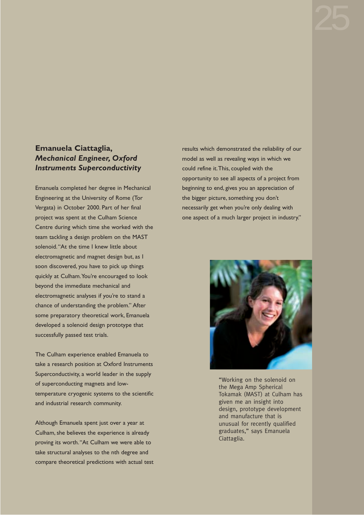### **Emanuela Ciattaglia,** *Mechanical Engineer, Oxford Instruments Superconductivity*

Emanuela completed her degree in Mechanical Engineering at the University of Rome (Tor Vergata) in October 2000. Part of her final project was spent at the Culham Science Centre during which time she worked with the team tackling a design problem on the MAST solenoid."At the time I knew little about electromagnetic and magnet design but, as I soon discovered, you have to pick up things quickly at Culham.You're encouraged to look beyond the immediate mechanical and electromagnetic analyses if you're to stand a chance of understanding the problem." After some preparatory theoretical work, Emanuela developed a solenoid design prototype that successfully passed test trials.

The Culham experience enabled Emanuela to take a research position at Oxford Instruments Superconductivity, a world leader in the supply of superconducting magnets and lowtemperature cryogenic systems to the scientific and industrial research community.

Although Emanuela spent just over a year at Culham, she believes the experience is already proving its worth."At Culham we were able to take structural analyses to the nth degree and compare theoretical predictions with actual test results which demonstrated the reliability of our model as well as revealing ways in which we could refine it.This, coupled with the opportunity to see all aspects of a project from beginning to end, gives you an appreciation of the bigger picture, something you don't necessarily get when you're only dealing with one aspect of a much larger project in industry."



"Working on the solenoid on the Mega Amp Spherical Tokamak (MAST) at Culham has given me an insight into design, prototype development and manufacture that is unusual for recently qualified graduates," says Emanuela Ciattaglia.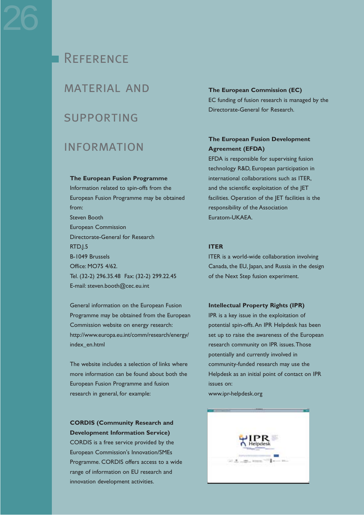### **REFERENCE**

### material and

### supporting

### information

#### **The European Fusion Programme**

Information related to spin-offs from the European Fusion Programme may be obtained from: Steven Booth European Commission Directorate-General for Research RTD.J.5 B-1049 Brussels Office: MO75 4/62. Tel. (32-2) 296.35.48 Fax: (32-2) 299.22.45 E-mail: steven.booth@cec.eu.int

General information on the European Fusion Programme may be obtained from the European Commission website on energy research: http://www.europa.eu.int/comm/research/energy/ index\_en.html

The website includes a selection of links where more information can be found about both the European Fusion Programme and fusion research in general, for example:

### **CORDIS (Community Research and Development Information Service)**

CORDIS is a free service provided by the European Commission's Innovation/SMEs Programme. CORDIS offers access to a wide range of information on EU research and innovation development activities.

#### **The European Commission (EC)**

EC funding of fusion research is managed by the Directorate-General for Research.

### **The European Fusion Development Agreement (EFDA)**

EFDA is responsible for supervising fusion technology R&D, European participation in international collaborations such as ITER, and the scientific exploitation of the JET facilities. Operation of the JET facilities is the responsibility of the Association Euratom-UKAEA.

#### **ITER**

ITER is a world-wide collaboration involving Canada, the EU, Japan, and Russia in the design of the Next Step fusion experiment.

#### **Intellectual Property Rights (IPR)**

IPR is a key issue in the exploitation of potential spin-offs.An IPR Helpdesk has been set up to raise the awareness of the European research community on IPR issues.Those potentially and currently involved in community-funded research may use the Helpdesk as an initial point of contact on IPR issues on:

www.ipr-helpdesk.org

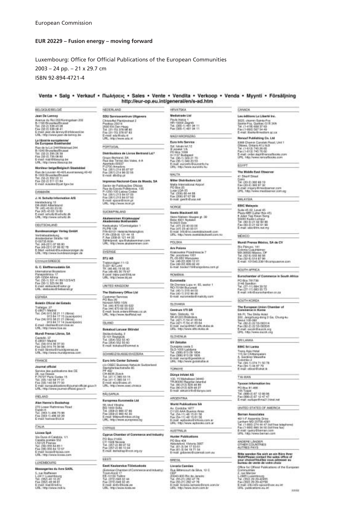#### **EUR 20229 – Fusion energy – moving forward**

#### Luxembourg: Office for Official Publications of the European Communities

#### 2003 – 24 pp. – 21 x 29.7 cm ISBN 92-894-4721-4

#### Venta • Salg • Verkauf • Πωλήσεις • Sales • Vente • Vendita • Verkoop • Venda • Myynti • Försäljning http://eur-op.eu.int/general/en/s-ad.htm

**ISTVATSKA** 

BELGKAUE/BELGKE

Jaan De Lannos Jean De Lanney<br>Avenue du Roi Stati Varmypham 202<br>15-1150 ChrossRedDhume<br>116-130 ChrossRedDhume<br>Fenalt jean de lanney@infolocacide<br>6-mail jean de lanney@infolocacide<br>URL: http://www.jean-cle-lannop.be

#### La librairie auropéanne/<br>De Europese Bookhander

De Europese Bookhandel<br>Rus de la Lis 244Wetermel 244<br>5-1040 BrucellesBrucese<br>Tél. (20:1) 200 26:30<br>Feuropes) 200 26:30<br>Greuz mail 6Mesurop.be<br>L/RL: http://www.idearop.be

**Noniteur beige/Belgisch Steatsbled** movement beggeven assumessed<br>T-1000 Druxsine/D-1021 assumessed (6-42<br>15-1000 Druxsine/Drumsi<br>T-1000-01 557 22 11<br>Pan (52-21 511 01 M<br>E-mail: maailes Opat Agoulae

#### **DANIMARK**

J. H. Schultz Information AS 2. H. Schultz Information<br>Heraldo Abertiano<br>DK-2020 Abertiano<br>TE: (45) 45-65 22:00<br>E-mail: afruite Bornitz di<br>UHL: Mip I www.schultz di

#### DEUTSCHLAND

**Bundesanzeiger Verlag Grubt** Vertrateadorelang<br>Amsterdamer Straße 192<br>Trd. (49-221) 67 66 80<br>Tra. (49-221) 67 66 82 76<br>Fax: Imp. (49-221) 67 66 82 76<br>LPL. Imp. (www.laudobarr.compt.ch

#### **EAMANGREESE**

G. P. Gurbarondario SA G. C. Eleftherosdates SA<br>
1-terradicarii Rooman<br>
Paragatarico 17<br>
7-terradicario 17<br>
7-terr<sup>200</sup>-11 321 41 80 1/2/3/4/5<br>
Ferradicates British and an<br>
Ferradicates British and g<br>
UFL: atabasical battery<br>
UFL: atabasical ba

#### **ESPAÑA**

**Golette Oficial del Estado** Trahigar, 27<br>C-28071 Mark 38 21 11 (Receipson)<br>Trai, (34) 915 38 37 15 (Suscepcon)<br>Fes (34) 913 38 31 31 17 14 (Suscepcon)<br>913 38 31 31 17 14 (Suscepcon) E-mail: clientea@zoini.b<br>URL: http://www.ltos.au  $\overline{a}$ 

**Bund Prema Libros, SA** IBundi Premiu Librar, SA<br>C-18001 Madrid<br>Tyl. (24) 914 26 37 00<br>Francis San Star Strand Premium<br>G-raid Strand Prancis personal raid<br>LPL: http://www.raidspress.com

#### FRANCE

Journal official unarnar offenset<br>18 September – Andre Maria III<br>18 June Dessin<br>19 September – Maria III<br>16 June 19 September – Andre Maria III<br>16 September – Andre Maria III (Samari officiel gave fr<br>16 September – Andre Maria III (Samari

#### FELAND

Alan Harva's Bookshop Atan Hanna's Bookshop<br>270 Lower Rathmines Road<br>Dabin 6<br>Fas (263-1) 496 73:90<br>Fas (263-1) 496 02:29<br>E-mail hannas BioLie

#### TALIA

Licosa SpA

Leone app S<br>Vis Dust is Calabda, 1/1<br>Casalla postale 552<br>1-56125 Firence<br>Fax (361055 64 83 1<br>Fax (361056 64 32 57<br>Fax (361056 64 32 57<br>Fax (361056 60060 6004 com

#### **UNTMEDIATE**

**Bloodcomfee du fivre SARL** Microsoft Control (2012)<br>1911 - Luxembourg<br>1911 - Comer Bourg<br>1911 - State Control (2014)<br>1911 - Mary Maritime Control (2014)<br>1912 - Importance multiple

NEDERLAND SDU Servicecentrum Ultgeven Searchive Plant (market 2)<br>The first 20014<br>The 20014<br>Tot (11-70) 276 108 40<br>Fax (21-70) 276 109 40<br>Easy (21-70) 276 109 40<br>Lifts, implicance and all

### PORTUON. Distribuidora de Livros Bertrand Ld.<sup>4</sup> Every Barbara or Lives and the Second Barbara<br>San des Terras des Vales, 4-A<br>Paurado (2020)<br>Test (2021)<br>The ISBN 274-85-87-67<br>Frank (2021)<br>274-85-67-67<br>E-raid: dia Dip (4

Impresso Recional-Case de Monda, SA Impression Practices Case<br>
Sector de Publicações Oficials<br>
Figs de Escola Politicesca, 135<br>
P-1250-100 Labour Coder<br>
Figs (307) 213 N4 37 00<br>
Figs (307) 213 N4 37 00<br>
E-Ric Hippowerican.pl<br>
LFL: fripowerican.pl

#### SUOMAT NUAND

#### Akateereinen Kirjakouppa)<br>Akademiska Bokhandeln

Keskuskata 1/Comhalgates 1<br>PL/PB 128<br>P-Re (258-9) Helenium/Helengton<br>P.Min (258-9) 121-44-35<br>F.Aus (258-9) 121-44-35

#### Sahkoprof, ips Gokalaum<br>URL 97pr/www.akateorie SYERGE

**BTJ AB** 814 Adv<br>TK: (46.46) 16.00 IO<br>5-221 B2 Lund<br>TK: (46.46) 16.00 IO<br>6-past 1660-pall 016,68<br>6-past 1660-pall 016,68<br>UR: 160-pall 016,68

#### LINTED KINGDOM

The Stationery Office Ltd. France Senator<br>Castomet Senator<br>PD Bes 29<br>Tel. 164 (170 film 1814)<br>Tel. 164 (170 film 1822)<br>E-mail: book.orders @finge.cd.uk<br>E-mail: book.orders @finge.cd.uk<br>Uffu. http://www.tkofficial.net

#### **BLAND**

**Boksteid Lanuar Blönder** Skólavönlaság, 2<br>15-101 Reykjavík<br>Tel. (254) 252 15:40<br>Fer 1354) 252 15:40<br>E-real: Itolsdoud Grammat is

#### SCHWEIZSUBSESWOZERA Ears Info Conter Schweiz

Earn Free Communications<br>
Contractor Contractor Section Institutions<br>
Sharephone Schule II<br>
CH 8025<br>
CH 8025<br>
CH 101<br>
Fax 101<br>
The Schule Communication<br>
Fax 101<br>
CH 101<br>
CH 101<br>
CH 101<br>
CH 101<br>
CH 101<br>
CH 101<br>
CH 101<br>
CH 1

#### **MARAZIN European Europedia Ltd**

Rangeres Externata Ltd<br>(85): 1200 Solis<br>(85): 1200 Solis<br>Tel. (359-2): 960 SP 66<br>Fran (155-2): 960 42 30<br>(27): 1200 Vienuill ribox.ct.by<br>UFL: http://www.europees.by

#### CYPRUS Cyprus Chamber of Commerce and Industry

Cypres Chat 21456<br>CY-1508 Nicarás<br>CY-1508 Nicarás<br>Tel. (257-21-88 97 52<br>Tes (257-21-88 97 10 44

### EERTH Easti Kautonska-Tööstuskoda

is an interaction of the contraction of the state of the state of the state of the state of the state of the state of the state of the state of the state of the state of the state of the state of the state of the state of

#### **Mediatrade Ltd** Pavis Hatta 1<br>HR-1000 Zagnib<br>Tel. (305-1) 451 04 11<br>Fax (305-1) 461 04 11 MAILVARORSZÁG Earn Into Service

Sat. 16/view krt. 12<br>
28. 16/view krt. 12<br>
28. november 176<br>
29. Boost 1008<br>
14. 126-10. 309 21<br>
70. Tat. 126-10. 309 21<br>
70. Tat. 126-10. 309 21<br>
170. 170. 100. 100. 200.<br>
LPM, 100. 100. 200. 200. 1270.<br>
LPM, 100. 100. 10 MALTA

Miller Distributors Ltd. Miller Dealer<br>Salah Valencianal Algorit<br>PD Box 25<br>Lutar LGA 05<br>The (2004-87 07 08<br>Frealt perfect pas anti-

#### **NONCE**

**Swets Blackwell AS** www.marchive.org<br>Hans Piatram Hauger gr. 30<br>Boix 4901 Nydalen<br>14. (411 23 40 00 00<br>Free (411 23 40 00 01<br>Free (411 23 40 00 01<br>Free (411 24 40 00 01 01<br>IPL: http://www.mentalackwell.com.no

#### **POLISKA Are Polisies**

Ara Potessa<br>Knigsvalde Pondrisecke 7<br>Sir, pocztowe 1001<br>PL-00-950 Warscawa<br>Tas (19-22) Sir 12 01<br>E-mail books1194 angolor<br>E-mail books1194 angolor **AN COURSE OF** 

#### **FICANAMA** Europedia

Ear Diomisse Lupu m: 85, sector 1<br>Fig. 70184 Bucurest<br>Tel. 140-15 312 44 03<br>Fax (80-15 312 46 08)<br>E-real: euromedia: Brazicaly.com

#### **SLOVAKIA** Centrum VVI SR

Central VII am<br>SK-31223 Brakslave<br>Tel: 1421-7: 54.41 65.64<br>Tel: 1421-7: 54.41 65.64<br>Frenat: europ (Philot Jan skala)<br>LPL: 18p://www.alt.ch.da.da

#### **RECIVIENE M**

tar association<br>CLO-1000 Luidijama<br>Tel. (305) 513.09.1004<br>Tel. (305) 513.09.1004<br>E-rabil: europ 01 premierinist<br>LIRL: http://www.gozalozba.al

#### **ARGENTINA**

World Publications SA World Publishers Int?<br>C1130 AAA Buseto: Aires<br>Tel. (54-11) 48 15 01 56<br>Free (54-11) 48 15 01 56<br>Free (54-11) 48 15 01 56<br>Ernall applicate O Monitority of

#### **AUSTINAJA Hunter Publications**

PO Box 404<br>Abbotshord, Victoria 3007<br>Tat. (81-3) 04-17 53 01<br>Free HT-3) 04-19 71 54<br>E-real: gobores @azeroak.com.ex

#### **SFIESA**

Lietaria Camdes Livroria Camdes<br>Fila Bitancolat de Sèva, 13 C<br>CIDP

## CEP<br>20043-900 Rio do Jareiro<br>Tel. (55-21) 252 47 78<br>Fax (55-21) 252 47 78<br>E-real: Intensity are direct atencia<br>E-real: Impulsyon anomatom bi

CANADA Les Address La Liberté Iro. 3020, choren Banto-For<br>Bases Foy, Québec 018 3Ve<br>Tax (1-118) 683 37 68<br>Fax (1-600) 587 5+46<br>E-mail: Banto Breedom 4c.ca

**Renout Publishing Co. Ltd.** Hence Photostery Co. Ltd.<br>1986 Chero Carolini Plaud, Unit 1<br>1986 A. Orland K11 8.8<br>Tai, (14:13) 745 20.05<br>E-mail: orbit dopf Brenosfbooks.com<br>1991. Hig. New renofficiols.com

#### EGYPT

The Middle East Observer 41 Short Street<br>Com<br>Tel: (20 2) 302 48 19<br>Fax (20 4) 303 97 32

E-mail: inquiry Breeclowner.com<br>UPL: http://www.medosoresr.com.eg

#### **MALAYSIA**

**EBIC Malaysia** Conta 45.02, Lavel 45<br>Shabo 45.02, Lavel 45<br>Plaza MSf (Laher Box 45)<br>Anders Mayle Kampy<br>Tal. (65-3) 21.02 62.06<br>E-mail: ebic@frit.nod.my<br>E-mail: ebic@frit.nod.my

upoco-

### Mundi Prensa México, SA de CV Morte Premier Metros, SA de CV<br>Colonia Casufistano<br>1960-9200 Metros, CV<br>1960-9200 Metros, CV<br>Fac 192-91 930 M 930<br>E-mail: 1970-91 2001 Brompassive.com<br>E-mail: 1970-91 2001 Brompassive.com

SOUTH AFRICA

Eurochamber of Commerce in South Africa PO Box 781738<br>2146 Sandton<br>Tel. (27-11) 684 39 58<br>Fax (27-11) 683 55 77<br>E-mail: véc 8 sandton and we could

#### **A3RON-ROUGH**

The European Union Chamber of<br>Commerce in Korea

# Commerce in Korea<br>2017, Jangmung 4008 (Guidelphia)<br>2021, Jangmung-4008 (Guidelphia)<br>5004 (GS-2022 53-2631H)<br>Tel. (BS-2) 22: 53-2631H)<br>Fundi excell@excel.org<br>DPL: filte-leaded excel.org

**SRI LANKA** 

#### EBC SILLIVAL

RRK: Kristanna<br>Thi Sir Chiltannialam<br>Thi Sir Chiltannialam<br>A. Gardiner Maxadha<br>Tal (144-11074-71-50-78<br>Tar (144-11074-71-50-78<br>E-mail: client@ohat.ik

#### TAI-WAN

Tespon Information Inc. PO Box 81-495<br>135 Tages<br>Tai, (890-2) 67 12:50 56<br>Fax (895-2) 67 12:47 47<br>E-mail: europe@ma21.ht

#### UNITED STATES OF AMERICA

Bernan Associates Bernary Associates<br>
Lat American Division (1998)<br>
Lat Australian (2012/0001-434-7 (1998 have belock move)<br>
Tai, (19902) (294-44-427 (1998 have belock)<br>
E-mail: (1999) (2008/104-1040)<br>
E-mail: (1992-have bernary.com)<br>
Lift)

### ANDERE LÄNDER<br>OTHER COUNTRIES

**Bite weeken Sie sich as ain Bite Pret<br>Water Transporter the sales office of**<br>Water Presse contact the sales office of<br>Barrato de vente de votes choice<br>Chice for Ciffairi Publications of the Gamp Ofter for Officer Publications of the<br>Contractions<br>2. real Mercian<br>2. (1985) Looperstone<br>1. (1952) 29-20-425<br>Tax (1952) 29-20-425<br>Fax: (1952) 29-20-425<br>Fax: (1952) 29-20-425<br>Fax: (1952) 29-20-425<br>(Fax: Fax: Fax: Fax: Fax:

books

### GV Zalostas **TORKIVE** Dünya Infolet AS

100, Vil Mahalinest 34440<br>TR-80050 Bagellar-Interdiel<br>TR-80050 Bagellar-Interdiel<br>Fax (1922/23) 429-44-27<br>F-real: aktual artofil dange cars